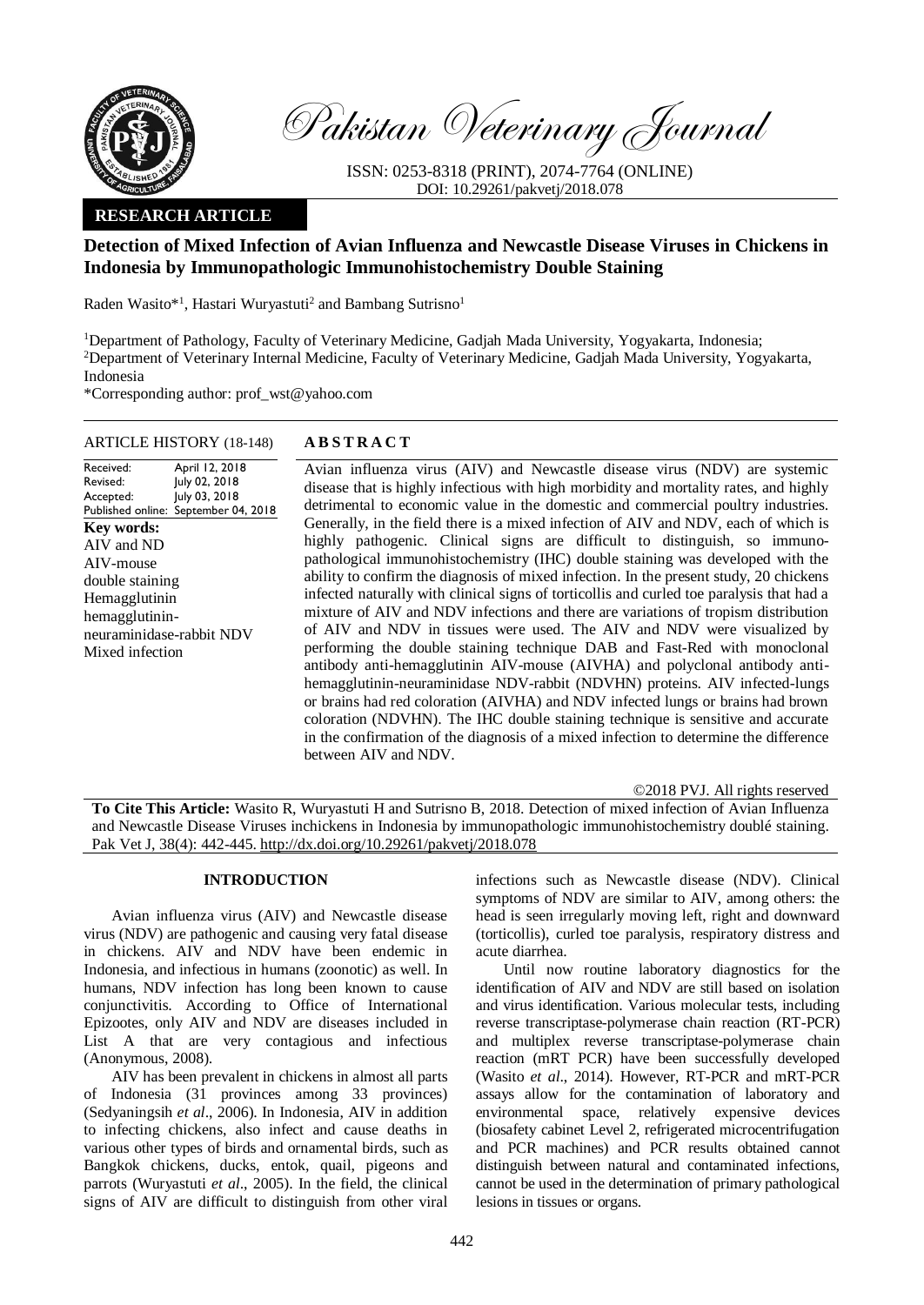

Pakistan Veterinary Journal

ISSN: 0253-8318 (PRINT), 2074-7764 (ONLINE) DOI: 10.29261/pakvetj/2018.078

# **RESEARCH ARTICLE**

# **Detection of Mixed Infection of Avian Influenza and Newcastle Disease Viruses in Chickens in Indonesia by Immunopathologic Immunohistochemistry Double Staining**

Raden Wasito\*<sup>1</sup>, Hastari Wuryastuti<sup>2</sup> and Bambang Sutrisno<sup>1</sup>

<sup>1</sup>Department of Pathology, Faculty of Veterinary Medicine, Gadjah Mada University, Yogyakarta, Indonesia; <sup>2</sup>Department of Veterinary Internal Medicine, Faculty of Veterinary Medicine, Gadjah Mada University, Yogyakarta, Indonesia

\*Corresponding author: prof\_wst@yahoo.com

## ARTICLE HISTORY (18-148) **A B S T R A C T**

Received: Revised: Accepted: Published online: April 12, 2018 July 02, 2018 July 03, 2018 September 04, 2018 **Key words:**  AIV and ND AIV-mouse double staining Hemagglutinin hemagglutininneuraminidase-rabbit NDV Mixed infection

Avian influenza virus (AIV) and Newcastle disease virus (NDV) are systemic disease that is highly infectious with high morbidity and mortality rates, and highly detrimental to economic value in the domestic and commercial poultry industries. Generally, in the field there is a mixed infection of AIV and NDV, each of which is highly pathogenic. Clinical signs are difficult to distinguish, so immunopathological immunohistochemistry (IHC) double staining was developed with the ability to confirm the diagnosis of mixed infection. In the present study, 20 chickens infected naturally with clinical signs of torticollis and curled toe paralysis that had a mixture of AIV and NDV infections and there are variations of tropism distribution of AIV and NDV in tissues were used. The AIV and NDV were visualized by performing the double staining technique DAB and Fast-Red with monoclonal antibody anti-hemagglutinin AIV-mouse (AIVHA) and polyclonal antibody antihemagglutinin-neuraminidase NDV-rabbit (NDVHN) proteins. AIV infected-lungs or brains had red coloration (AIVHA) and NDV infected lungs or brains had brown coloration (NDVHN). The IHC double staining technique is sensitive and accurate in the confirmation of the diagnosis of a mixed infection to determine the difference between AIV and NDV.

©2018 PVJ. All rights reserved

**To Cite This Article:** Wasito R, Wuryastuti H and Sutrisno B, 2018. Detection of mixed infection of Avian Influenza and Newcastle Disease Viruses inchickens in Indonesia by immunopathologic immunohistochemistry doublé staining. Pak Vet J, 38(4): 442-445. [http://dx.doi.org/10.29261/pakvetj/2018.078](http://pvj.com.pk/pdf-files/38_4/442-445.pdf) 

## **INTRODUCTION**

Avian influenza virus (AIV) and Newcastle disease virus (NDV) are pathogenic and causing very fatal disease in chickens. AIV and NDV have been endemic in Indonesia, and infectious in humans (zoonotic) as well. In humans, NDV infection has long been known to cause conjunctivitis. According to Office of International Epizootes, only AIV and NDV are diseases included in List A that are very contagious and infectious (Anonymous, 2008).

AIV has been prevalent in chickens in almost all parts of Indonesia (31 provinces among 33 provinces) (Sedyaningsih *et al*., 2006). In Indonesia, AIV in addition to infecting chickens, also infect and cause deaths in various other types of birds and ornamental birds, such as Bangkok chickens, ducks, entok, quail, pigeons and parrots (Wuryastuti *et al*., 2005). In the field, the clinical signs of AIV are difficult to distinguish from other viral

infections such as Newcastle disease (NDV). Clinical symptoms of NDV are similar to AIV, among others: the head is seen irregularly moving left, right and downward (torticollis), curled toe paralysis, respiratory distress and acute diarrhea.

Until now routine laboratory diagnostics for the identification of AIV and NDV are still based on isolation and virus identification. Various molecular tests, including reverse transcriptase-polymerase chain reaction (RT-PCR) and multiplex reverse transcriptase-polymerase chain reaction (mRT PCR) have been successfully developed (Wasito *et al*., 2014). However, RT-PCR and mRT-PCR assays allow for the contamination of laboratory and environmental space, relatively expensive devices (biosafety cabinet Level 2, refrigerated microcentrifugation and PCR machines) and PCR results obtained cannot distinguish between natural and contaminated infections, cannot be used in the determination of primary pathological lesions in tissues or organs.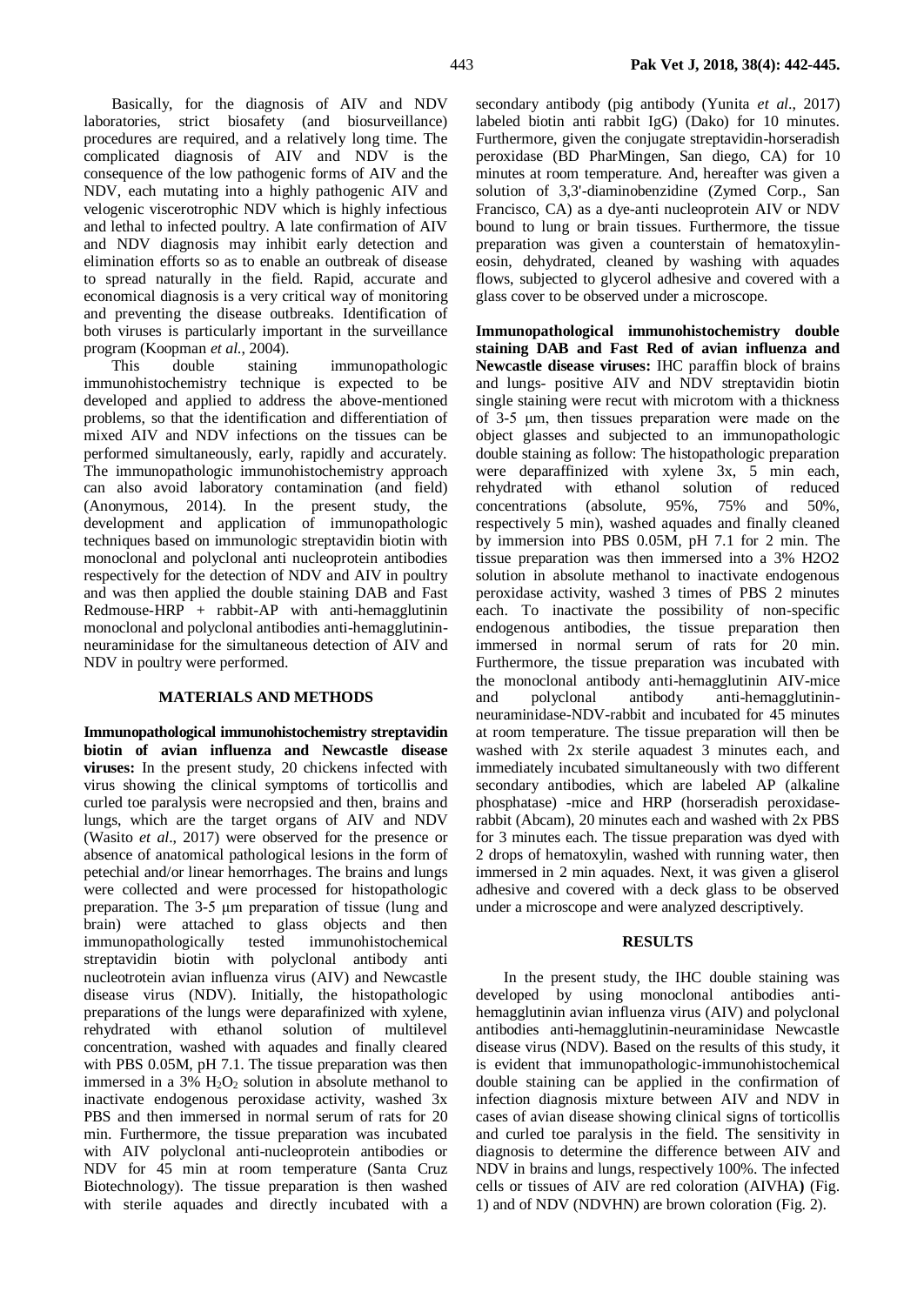Basically, for the diagnosis of AIV and NDV laboratories, strict biosafety (and biosurveillance) procedures are required, and a relatively long time. The complicated diagnosis of AIV and NDV is the consequence of the low pathogenic forms of AIV and the NDV, each mutating into a highly pathogenic AIV and velogenic viscerotrophic NDV which is highly infectious and lethal to infected poultry. A late confirmation of AIV and NDV diagnosis may inhibit early detection and elimination efforts so as to enable an outbreak of disease to spread naturally in the field. Rapid, accurate and economical diagnosis is a very critical way of monitoring and preventing the disease outbreaks. Identification of both viruses is particularly important in the surveillance program (Koopman *et al*., 2004).

This double staining immunopathologic immunohistochemistry technique is expected to be developed and applied to address the above-mentioned problems, so that the identification and differentiation of mixed AIV and NDV infections on the tissues can be performed simultaneously, early, rapidly and accurately. The immunopathologic immunohistochemistry approach can also avoid laboratory contamination (and field) (Anonymous, 2014). In the present study, the development and application of immunopathologic techniques based on immunologic streptavidin biotin with monoclonal and polyclonal anti nucleoprotein antibodies respectively for the detection of NDV and AIV in poultry and was then applied the double staining DAB and Fast Redmouse-HRP + rabbit-AP with anti-hemagglutinin monoclonal and polyclonal antibodies anti-hemagglutininneuraminidase for the simultaneous detection of AIV and NDV in poultry were performed.

# **MATERIALS AND METHODS**

**Immunopathological immunohistochemistry streptavidin biotin of avian influenza and Newcastle disease viruses:** In the present study, 20 chickens infected with virus showing the clinical symptoms of torticollis and curled toe paralysis were necropsied and then, brains and lungs, which are the target organs of AIV and NDV (Wasito *et al*., 2017) were observed for the presence or absence of anatomical pathological lesions in the form of petechial and/or linear hemorrhages. The brains and lungs were collected and were processed for histopathologic preparation. The 3-5 μm preparation of tissue (lung and brain) were attached to glass objects and then immunopathologically tested immunohistochemical streptavidin biotin with polyclonal antibody anti nucleotrotein avian influenza virus (AIV) and Newcastle disease virus (NDV). Initially, the histopathologic preparations of the lungs were deparafinized with xylene, rehydrated with ethanol solution of multilevel concentration, washed with aquades and finally cleared with PBS 0.05M, pH 7.1. The tissue preparation was then immersed in a 3%  $H_2O_2$  solution in absolute methanol to inactivate endogenous peroxidase activity, washed 3x PBS and then immersed in normal serum of rats for 20 min. Furthermore, the tissue preparation was incubated with AIV polyclonal anti-nucleoprotein antibodies or NDV for 45 min at room temperature (Santa Cruz Biotechnology). The tissue preparation is then washed with sterile aquades and directly incubated with a

secondary antibody (pig antibody (Yunita *et al*., 2017) labeled biotin anti rabbit IgG) (Dako) for 10 minutes. Furthermore, given the conjugate streptavidin-horseradish peroxidase (BD PharMingen, San diego, CA) for 10 minutes at room temperature. And, hereafter was given a solution of 3,3'-diaminobenzidine (Zymed Corp., San Francisco, CA) as a dye-anti nucleoprotein AIV or NDV bound to lung or brain tissues. Furthermore, the tissue preparation was given a counterstain of hematoxylineosin, dehydrated, cleaned by washing with aquades flows, subjected to glycerol adhesive and covered with a glass cover to be observed under a microscope.

**Immunopathological immunohistochemistry double staining DAB and Fast Red of avian influenza and Newcastle disease viruses:** IHC paraffin block of brains and lungs- positive AIV and NDV streptavidin biotin single staining were recut with microtom with a thickness of 3-5 μm, then tissues preparation were made on the object glasses and subjected to an immunopathologic double staining as follow: The histopathologic preparation were deparaffinized with xylene 3x, 5 min each, rehydrated with ethanol solution of reduced concentrations (absolute, 95%, 75% and 50%, respectively 5 min), washed aquades and finally cleaned by immersion into PBS 0.05M, pH 7.1 for 2 min. The tissue preparation was then immersed into a 3% H2O2 solution in absolute methanol to inactivate endogenous peroxidase activity, washed 3 times of PBS 2 minutes each. To inactivate the possibility of non-specific endogenous antibodies, the tissue preparation then immersed in normal serum of rats for 20 min. Furthermore, the tissue preparation was incubated with the monoclonal antibody anti-hemagglutinin AIV-mice and polyclonal antibody anti-hemagglutininneuraminidase-NDV-rabbit and incubated for 45 minutes at room temperature. The tissue preparation will then be washed with 2x sterile aquadest 3 minutes each, and immediately incubated simultaneously with two different secondary antibodies, which are labeled AP (alkaline phosphatase) -mice and HRP (horseradish peroxidaserabbit (Abcam), 20 minutes each and washed with 2x PBS for 3 minutes each. The tissue preparation was dyed with 2 drops of hematoxylin, washed with running water, then immersed in 2 min aquades. Next, it was given a gliserol adhesive and covered with a deck glass to be observed under a microscope and were analyzed descriptively.

#### **RESULTS**

In the present study, the IHC double staining was developed by using monoclonal antibodies antihemagglutinin avian influenza virus (AIV) and polyclonal antibodies anti-hemagglutinin-neuraminidase Newcastle disease virus (NDV). Based on the results of this study, it is evident that immunopathologic-immunohistochemical double staining can be applied in the confirmation of infection diagnosis mixture between AIV and NDV in cases of avian disease showing clinical signs of torticollis and curled toe paralysis in the field. The sensitivity in diagnosis to determine the difference between AIV and NDV in brains and lungs, respectively 100%. The infected cells or tissues of AIV are red coloration (AIVHA**)** (Fig. 1) and of NDV (NDVHN) are brown coloration (Fig. 2).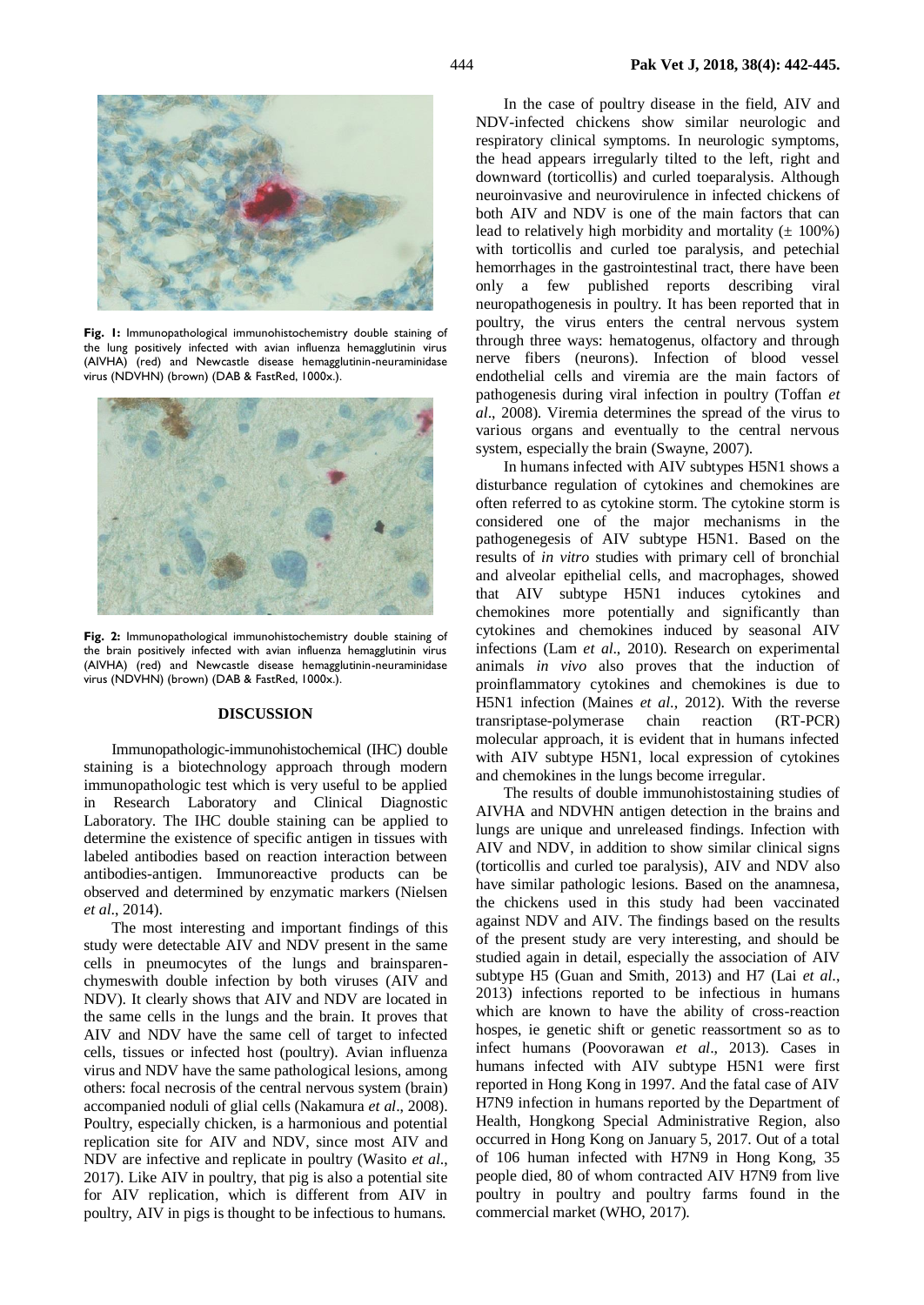

**Fig. 1:** Immunopathological immunohistochemistry double staining of the lung positively infected with avian influenza hemagglutinin virus (AIVHA) (red) and Newcastle disease hemagglutinin-neuraminidase virus (NDVHN) (brown) (DAB & FastRed, 1000x.).



**Fig. 2:** Immunopathological immunohistochemistry double staining of the brain positively infected with avian influenza hemagglutinin virus (AIVHA) (red) and Newcastle disease hemagglutinin-neuraminidase virus (NDVHN) (brown) (DAB & FastRed, 1000x.).

#### **DISCUSSION**

Immunopathologic-immunohistochemical (IHC) double staining is a biotechnology approach through modern immunopathologic test which is very useful to be applied in Research Laboratory and Clinical Diagnostic Laboratory. The IHC double staining can be applied to determine the existence of specific antigen in tissues with labeled antibodies based on reaction interaction between antibodies-antigen. Immunoreactive products can be observed and determined by enzymatic markers (Nielsen *et al*., 2014).

The most interesting and important findings of this study were detectable AIV and NDV present in the same cells in pneumocytes of the lungs and brainsparenchymeswith double infection by both viruses (AIV and NDV). It clearly shows that AIV and NDV are located in the same cells in the lungs and the brain. It proves that AIV and NDV have the same cell of target to infected cells, tissues or infected host (poultry). Avian influenza virus and NDV have the same pathological lesions, among others: focal necrosis of the central nervous system (brain) accompanied noduli of glial cells (Nakamura *et al*., 2008). Poultry, especially chicken, is a harmonious and potential replication site for AIV and NDV, since most AIV and NDV are infective and replicate in poultry (Wasito *et al*., 2017). Like AIV in poultry, that pig is also a potential site for AIV replication, which is different from AIV in poultry, AIV in pigs is thought to be infectious to humans.

In the case of poultry disease in the field, AIV and NDV-infected chickens show similar neurologic and respiratory clinical symptoms. In neurologic symptoms, the head appears irregularly tilted to the left, right and downward (torticollis) and curled toeparalysis. Although neuroinvasive and neurovirulence in infected chickens of both AIV and NDV is one of the main factors that can lead to relatively high morbidity and mortality  $(\pm 100\%)$ with torticollis and curled toe paralysis, and petechial hemorrhages in the gastrointestinal tract, there have been only a few published reports describing viral neuropathogenesis in poultry. It has been reported that in poultry, the virus enters the central nervous system through three ways: hematogenus, olfactory and through nerve fibers (neurons). Infection of blood vessel endothelial cells and viremia are the main factors of pathogenesis during viral infection in poultry (Toffan *et al*., 2008). Viremia determines the spread of the virus to various organs and eventually to the central nervous system, especially the brain (Swayne, 2007).

In humans infected with AIV subtypes H5N1 shows a disturbance regulation of cytokines and chemokines are often referred to as cytokine storm. The cytokine storm is considered one of the major mechanisms in the pathogenegesis of AIV subtype H5N1. Based on the results of *in vitro* studies with primary cell of bronchial and alveolar epithelial cells, and macrophages, showed that AIV subtype H5N1 induces cytokines and chemokines more potentially and significantly than cytokines and chemokines induced by seasonal AIV infections (Lam *et al*., 2010). Research on experimental animals *in vivo* also proves that the induction of proinflammatory cytokines and chemokines is due to H5N1 infection (Maines *et al*., 2012). With the reverse transriptase-polymerase chain reaction (RT-PCR) molecular approach, it is evident that in humans infected with AIV subtype H5N1, local expression of cytokines and chemokines in the lungs become irregular.

The results of double immunohistostaining studies of AIVHA and NDVHN antigen detection in the brains and lungs are unique and unreleased findings. Infection with AIV and NDV, in addition to show similar clinical signs (torticollis and curled toe paralysis), AIV and NDV also have similar pathologic lesions. Based on the anamnesa, the chickens used in this study had been vaccinated against NDV and AIV. The findings based on the results of the present study are very interesting, and should be studied again in detail, especially the association of AIV subtype H5 (Guan and Smith, 2013) and H7 (Lai *et al*., 2013) infections reported to be infectious in humans which are known to have the ability of cross-reaction hospes, ie genetic shift or genetic reassortment so as to infect humans (Poovorawan *et al*., 2013). Cases in humans infected with AIV subtype H5N1 were first reported in Hong Kong in 1997. And the fatal case of AIV H7N9 infection in humans reported by the Department of Health, Hongkong Special Administrative Region, also occurred in Hong Kong on January 5, 2017. Out of a total of 106 human infected with H7N9 in Hong Kong, 35 people died, 80 of whom contracted AIV H7N9 from live poultry in poultry and poultry farms found in the commercial market (WHO, 2017).